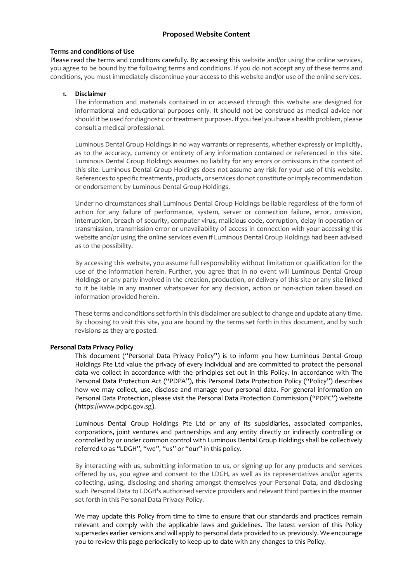# **Proposed Website Content**

#### **Terms and conditions of Use**

Please read the terms and conditions carefully. By accessing this website and/or using the online services, you agree to be bound by the following terms and conditions. If you do not accept any of these terms and conditions, you must immediately discontinue your access to this website and/or use of the online services.

### **1. Disclaimer**

The information and materials contained in or accessed through this website are designed for informational and educational purposes only. It should not be construed as medical advice nor should it be used for diagnostic or treatment purposes. If you feel you have a health problem, please consult a medical professional.

Luminous Dental Group Holdings in no way warrants or represents, whether expressly or implicitly, as to the accuracy, currency or entirety of any information contained or referenced in this site. Luminous Dental Group Holdings assumes no liability for any errors or omissions in the content of this site. Luminous Dental Group Holdings does not assume any risk for your use of this website. References to specific treatments, products, or services do not constitute or imply recommendation or endorsement by Luminous Dental Group Holdings.

Under no circumstances shall Luminous Dental Group Holdings be liable regardless of the form of action for any failure of performance, system, server or connection failure, error, omission, interruption, breach of security, computer virus, malicious code, corruption, delay in operation or transmission, transmission error or unavailability of access in connection with your accessing this website and/or using the online services even if Luminous Dental Group Holdings had been advised as to the possibility.

By accessing this website, you assume full responsibility without limitation or qualification for the use of the information herein. Further, you agree that in no event will Luminous Dental Group Holdings or any party involved in the creation, production, or delivery of this site or any site linked to it be liable in any manner whatsoever for any decision, action or non-action taken based on information provided herein.

These terms and conditions set forth in this disclaimer are subject to change and update at any time. By choosing to visit this site, you are bound by the terms set forth in this document, and by such revisions as they are posted.

#### **Personal Data Privacy Policy**

This document ("Personal Data Privacy Policy") is to inform you how Luminous Dental Group Holdings Pte Ltd value the privacy of every individual and are committed to protect the personal data we collect in accordance with the principles set out in this Policy. In accordance with The Personal Data Protection Act ("PDPA"), this Personal Data Protection Policy ("Policy") describes how we may collect, use, disclose and manage your personal data. For general information on Personal Data Protection, please visit the Personal Data Protection Commission ("PDPC") website (https://www.pdpc.gov.sg).

Luminous Dental Group Holdings Pte Ltd or any of its subsidiaries, associated companies, corporations, joint ventures and partnerships and any entity directly or indirectly controlling or controlled by or under common control with Luminous Dental Group Holdings shall be collectively referred to as "LDGH", "we", "us" or "our" in this policy.

By interacting with us, submitting information to us, or signing up for any products and services offered by us, you agree and consent to the LDGH, as well as its representatives and/or agents collecting, using, disclosing and sharing amongst themselves your Personal Data, and disclosing such Personal Data to LDGH's authorised service providers and relevant third parties in the manner set forth in this Personal Data Privacy Policy.

We may update this Policy from time to time to ensure that our standards and practices remain relevant and comply with the applicable laws and guidelines. The latest version of this Policy supersedes earlier versions and will apply to personal data provided to us previously. We encourage you to review this page periodically to keep up to date with any changes to this Policy.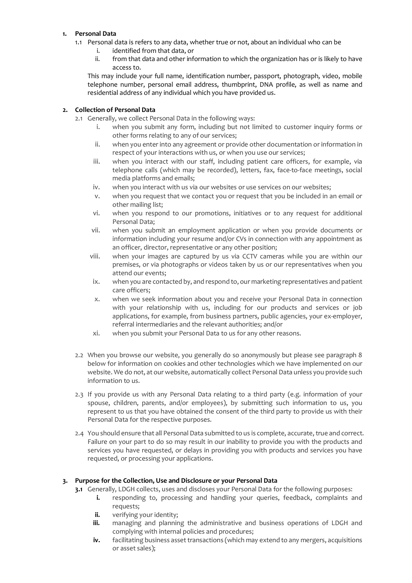## **1. Personal Data**

- 1.1 Personal data is refers to any data, whether true or not, about an individual who can be
	- i. identified from that data, or
	- ii. from that data and other information to which the organization has or is likely to have access to.

This may include your full name, identification number, passport, photograph, video, mobile telephone number, personal email address, thumbprint, DNA profile, as well as name and residential address of any individual which you have provided us.

### **2. Collection of Personal Data**

- 2.1 Generally, we collect Personal Data in the following ways:
	- i. when you submit any form, including but not limited to customer inquiry forms or other forms relating to any of our services;
	- ii. when you enter into any agreement or provide other documentation or information in respect of your interactions with us, or when you use our services;
	- iii. when you interact with our staff, including patient care officers, for example, via telephone calls (which may be recorded), letters, fax, face-to-face meetings, social media platforms and emails;
	- iv. when you interact with us via our websites or use services on our websites;
	- v. when you request that we contact you or request that you be included in an email or other mailing list;
	- vi. when you respond to our promotions, initiatives or to any request for additional Personal Data;
	- vii. when you submit an employment application or when you provide documents or information including your resume and/or CVs in connection with any appointment as an officer, director, representative or any other position;
	- viii. when your images are captured by us via CCTV cameras while you are within our premises, or via photographs or videos taken by us or our representatives when you attend our events;
	- ix. when you are contacted by, and respond to, our marketing representatives and patient care officers;
	- x. when we seek information about you and receive your Personal Data in connection with your relationship with us, including for our products and services or job applications, for example, from business partners, public agencies, your ex-employer, referral intermediaries and the relevant authorities; and/or
	- xi. when you submit your Personal Data to us for any other reasons.
- 2.2 When you browse our website, you generally do so anonymously but please see paragraph 8 below for information on cookies and other technologies which we have implemented on our website. We do not, at our website, automatically collect Personal Data unless you provide such information to us.
- 2.3 If you provide us with any Personal Data relating to a third party (e.g. information of your spouse, children, parents, and/or employees), by submitting such information to us, you represent to us that you have obtained the consent of the third party to provide us with their Personal Data for the respective purposes.
- 2.4 You should ensure that all Personal Data submitted to us is complete, accurate, true and correct. Failure on your part to do so may result in our inability to provide you with the products and services you have requested, or delays in providing you with products and services you have requested, or processing your applications.

# **3. Purpose for the Collection, Use and Disclosure or your Personal Data**

- **3.1** Generally, LDGH collects, uses and discloses your Personal Data for the following purposes:
	- **i.** responding to, processing and handling your queries, feedback, complaints and requests;
	- **ii.** verifying your identity;
	- **iii.** managing and planning the administrative and business operations of LDGH and complying with internal policies and procedures;
	- **iv.** facilitating business asset transactions (which may extend to any mergers, acquisitions or asset sales);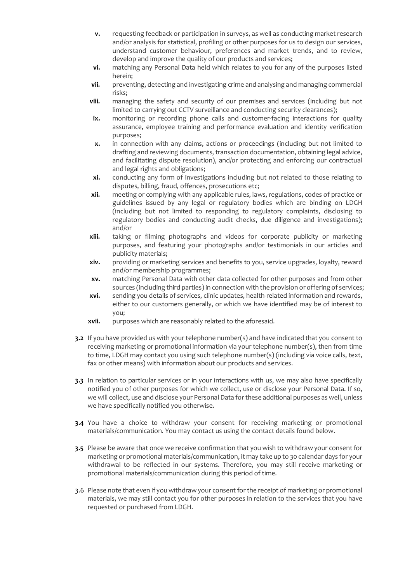- **v.** requesting feedback or participation in surveys, as well as conducting market research and/or analysis for statistical, profiling or other purposes for us to design our services, understand customer behaviour, preferences and market trends, and to review, develop and improve the quality of our products and services;
- **vi.** matching any Personal Data held which relates to you for any of the purposes listed herein;
- **vii.** preventing, detecting and investigating crime and analysing and managing commercial risks;
- **viii.** managing the safety and security of our premises and services (including but not limited to carrying out CCTV surveillance and conducting security clearances);
- **ix.** monitoring or recording phone calls and customer-facing interactions for quality assurance, employee training and performance evaluation and identity verification purposes;
- **x.** in connection with any claims, actions or proceedings (including but not limited to drafting and reviewing documents, transaction documentation, obtaining legal advice, and facilitating dispute resolution), and/or protecting and enforcing our contractual and legal rights and obligations;
- **xi.** conducting any form of investigations including but not related to those relating to disputes, billing, fraud, offences, prosecutions etc;
- **xii.** meeting or complying with any applicable rules, laws, regulations, codes of practice or guidelines issued by any legal or regulatory bodies which are binding on LDGH (including but not limited to responding to regulatory complaints, disclosing to regulatory bodies and conducting audit checks, due diligence and investigations); and/or
- **xiii.** taking or filming photographs and videos for corporate publicity or marketing purposes, and featuring your photographs and/or testimonials in our articles and publicity materials;
- **xiv.** providing or marketing services and benefits to you, service upgrades, loyalty, reward and/or membership programmes;
- **xv.** matching Personal Data with other data collected for other purposes and from other sources (including third parties) in connection with the provision or offering of services;
- **xvi.** sending you details of services, clinic updates, health-related information and rewards, either to our customers generally, or which we have identified may be of interest to you;
- **xvii.** purposes which are reasonably related to the aforesaid.
- **3.2** If you have provided us with your telephone number(s) and have indicated that you consent to receiving marketing or promotional information via your telephone number(s), then from time to time, LDGH may contact you using such telephone number(s) (including via voice calls, text, fax or other means) with information about our products and services.
- **3.3** In relation to particular services or in your interactions with us, we may also have specifically notified you of other purposes for which we collect, use or disclose your Personal Data. If so, we will collect, use and disclose your Personal Data for these additional purposes as well, unless we have specifically notified you otherwise.
- **3.4** You have a choice to withdraw your consent for receiving marketing or promotional materials/communication. You may contact us using the contact details found below.
- **3.5** Please be aware that once we receive confirmation that you wish to withdraw your consent for marketing or promotional materials/communication, it may take up to 30 calendar days for your withdrawal to be reflected in our systems. Therefore, you may still receive marketing or promotional materials/communication during this period of time.
- 3.6 Please note that even if you withdraw your consent for the receipt of marketing or promotional materials, we may still contact you for other purposes in relation to the services that you have requested or purchased from LDGH.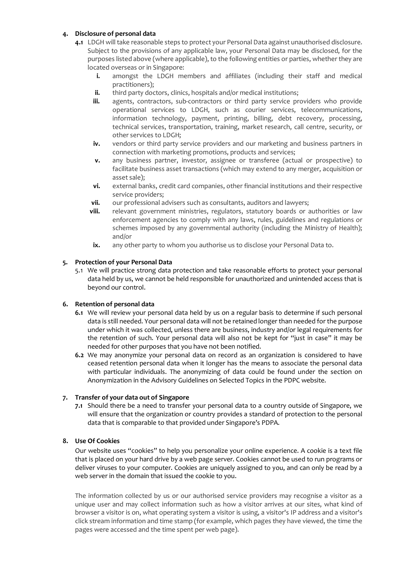# **4. Disclosure of personal data**

- **4.1** LDGH will take reasonable steps to protect your Personal Data against unauthorised disclosure. Subject to the provisions of any applicable law, your Personal Data may be disclosed, for the purposes listed above (where applicable), to the following entities or parties, whether they are located overseas or in Singapore:
	- **i.** amongst the LDGH members and affiliates (including their staff and medical practitioners);
	- **ii.** third party doctors, clinics, hospitals and/or medical institutions;
	- **iii.** agents, contractors, sub-contractors or third party service providers who provide operational services to LDGH, such as courier services, telecommunications, information technology, payment, printing, billing, debt recovery, processing, technical services, transportation, training, market research, call centre, security, or other services to LDGH;
	- **iv.** vendors or third party service providers and our marketing and business partners in connection with marketing promotions, products and services;
	- **v.** any business partner, investor, assignee or transferee (actual or prospective) to facilitate business asset transactions (which may extend to any merger, acquisition or asset sale);
	- **vi.** external banks, credit card companies, other financial institutions and their respective service providers;
	- **vii.** our professional advisers such as consultants, auditors and lawyers;
	- **viii.** relevant government ministries, regulators, statutory boards or authorities or law enforcement agencies to comply with any laws, rules, guidelines and regulations or schemes imposed by any governmental authority (including the Ministry of Health); and/or
	- **ix.** any other party to whom you authorise us to disclose your Personal Data to.

#### **5. Protection of your Personal Data**

5.1 We will practice strong data protection and take reasonable efforts to protect your personal data held by us, we cannot be held responsible for unauthorized and unintended access that is beyond our control.

#### **6. Retention of personal data**

- **6.1** We will review your personal data held by us on a regular basis to determine if such personal data is still needed. Your personal data will not be retained longer than needed for the purpose under which it was collected, unless there are business, industry and/or legal requirements for the retention of such. Your personal data will also not be kept for "just in case" it may be needed for other purposes that you have not been notified.
- **6.2** We may anonymize your personal data on record as an organization is considered to have ceased retention personal data when it longer has the means to associate the personal data with particular individuals. The anonymizing of data could be found under the section on Anonymization in the Advisory Guidelines on Selected Topics in the PDPC website.

### **7. Transfer of your data out of Singapore**

**7.1** Should there be a need to transfer your personal data to a country outside of Singapore, we will ensure that the organization or country provides a standard of protection to the personal data that is comparable to that provided under Singapore's PDPA.

## **8. Use Of Cookies**

Our website uses "cookies" to help you personalize your online experience. A cookie is a text file that is placed on your hard drive by a web page server. Cookies cannot be used to run programs or deliver viruses to your computer. Cookies are uniquely assigned to you, and can only be read by a web server in the domain that issued the cookie to you.

The information collected by us or our authorised service providers may recognise a visitor as a unique user and may collect information such as how a visitor arrives at our sites, what kind of browser a visitor is on, what operating system a visitor is using, a visitor's IP address and a visitor's click stream information and time stamp (for example, which pages they have viewed, the time the pages were accessed and the time spent per web page).